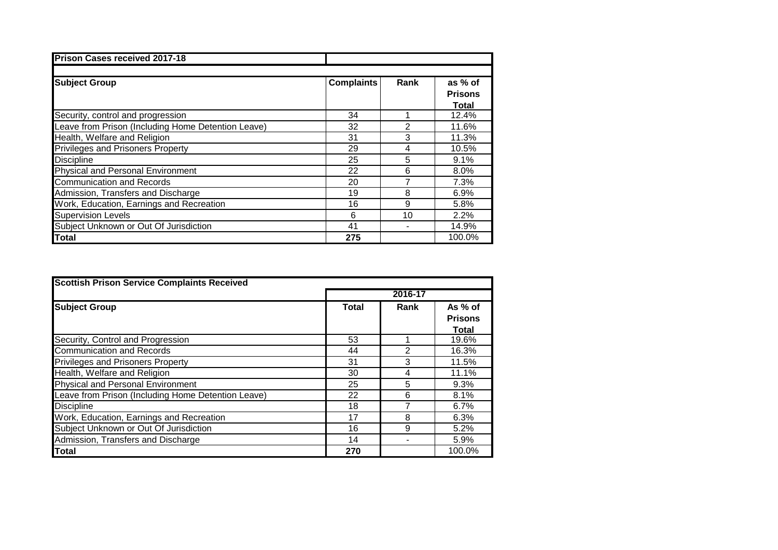| <b>Prison Cases received 2017-18</b>               |                   |      |                                           |
|----------------------------------------------------|-------------------|------|-------------------------------------------|
| <b>Subject Group</b>                               | <b>Complaints</b> | Rank | as % of<br><b>Prisons</b><br><b>Total</b> |
| Security, control and progression                  | 34                |      | 12.4%                                     |
| Leave from Prison (Including Home Detention Leave) | 32                | 2    | 11.6%                                     |
| Health, Welfare and Religion                       | 31                | 3    | 11.3%                                     |
| <b>Privileges and Prisoners Property</b>           | 29                | 4    | 10.5%                                     |
| <b>Discipline</b>                                  | 25                | 5    | 9.1%                                      |
| <b>Physical and Personal Environment</b>           | 22                | 6    | 8.0%                                      |
| <b>Communication and Records</b>                   | 20                | 7    | 7.3%                                      |
| Admission, Transfers and Discharge                 | 19                | 8    | 6.9%                                      |
| Work, Education, Earnings and Recreation           | 16                | 9    | 5.8%                                      |
| <b>Supervision Levels</b>                          | 6                 | 10   | 2.2%                                      |
| Subject Unknown or Out Of Jurisdiction             | 41                |      | 14.9%                                     |
| <b>Total</b>                                       | 275               |      | 100.0%                                    |

| <b>Scottish Prison Service Complaints Received</b> |              |      |                |  |  |
|----------------------------------------------------|--------------|------|----------------|--|--|
|                                                    | 2016-17      |      |                |  |  |
| <b>Subject Group</b>                               | <b>Total</b> | Rank | As % of        |  |  |
|                                                    |              |      | <b>Prisons</b> |  |  |
|                                                    |              |      | <b>Total</b>   |  |  |
| Security, Control and Progression                  | 53           |      | 19.6%          |  |  |
| <b>Communication and Records</b>                   | 44           | 2    | 16.3%          |  |  |
| <b>Privileges and Prisoners Property</b>           | 31           | 3    | 11.5%          |  |  |
| Health, Welfare and Religion                       | 30           | 4    | 11.1%          |  |  |
| <b>Physical and Personal Environment</b>           | 25           | 5    | 9.3%           |  |  |
| Leave from Prison (Including Home Detention Leave) | 22           | 6    | 8.1%           |  |  |
| <b>Discipline</b>                                  | 18           |      | 6.7%           |  |  |
| Work, Education, Earnings and Recreation           | 17           | 8    | 6.3%           |  |  |
| Subject Unknown or Out Of Jurisdiction             | 16           | 9    | 5.2%           |  |  |
| Admission, Transfers and Discharge                 | 14           |      | 5.9%           |  |  |
| <b>Total</b>                                       | 270          |      | 100.0%         |  |  |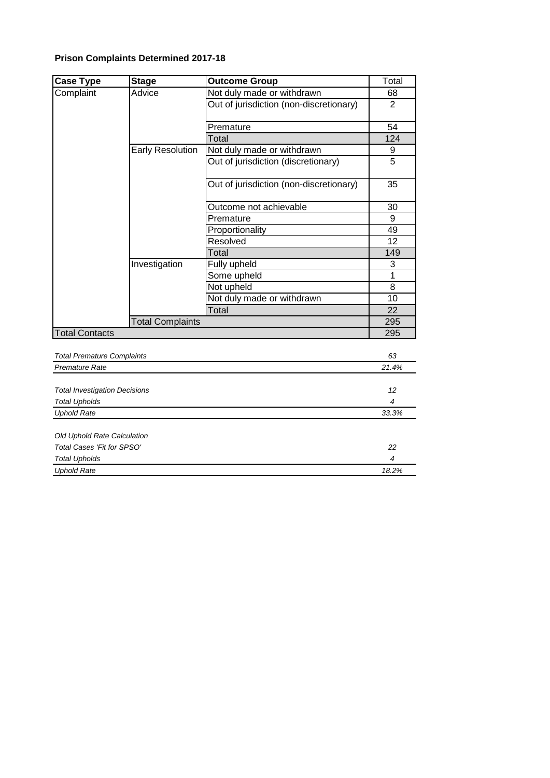## **Prison Complaints Determined 2017-18**

| <b>Case Type</b>                                             | <b>Stage</b>            | <b>Outcome Group</b>                    | Total           |
|--------------------------------------------------------------|-------------------------|-----------------------------------------|-----------------|
| Complaint                                                    | Advice                  | Not duly made or withdrawn              | 68              |
|                                                              |                         | Out of jurisdiction (non-discretionary) | $\overline{2}$  |
|                                                              |                         | Premature                               | 54              |
|                                                              |                         | Total                                   | 124             |
|                                                              | <b>Early Resolution</b> | Not duly made or withdrawn              | 9               |
|                                                              |                         | Out of jurisdiction (discretionary)     | $\overline{5}$  |
|                                                              |                         | Out of jurisdiction (non-discretionary) | 35              |
|                                                              |                         | Outcome not achievable                  | 30              |
|                                                              |                         | Premature                               | 9               |
|                                                              |                         | Proportionality                         | 49              |
|                                                              |                         | Resolved                                | 12              |
|                                                              |                         | Total                                   | 149             |
|                                                              | Investigation           | Fully upheld                            | 3               |
|                                                              |                         | Some upheld                             | $\mathbf{1}$    |
|                                                              |                         | Not upheld                              | 8               |
|                                                              |                         | Not duly made or withdrawn              | 10              |
|                                                              |                         | Total                                   | 22              |
|                                                              | <b>Total Complaints</b> |                                         | 295             |
| <b>Total Contacts</b>                                        |                         | 295                                     |                 |
| <b>Total Premature Complaints</b>                            |                         |                                         | 63              |
| <b>Premature Rate</b>                                        |                         |                                         | 21.4%           |
|                                                              |                         |                                         | 12 <sup>2</sup> |
| <b>Total Investigation Decisions</b><br><b>Total Upholds</b> |                         | 4                                       |                 |
| <b>Uphold Rate</b>                                           |                         |                                         | 33.3%           |
|                                                              |                         |                                         |                 |
| Old Uphold Rate Calculation                                  |                         |                                         |                 |
| Total Cases 'Fit for SPSO'                                   |                         | 22                                      |                 |
| <b>Total Upholds</b>                                         |                         | 4                                       |                 |
| <b>Uphold Rate</b>                                           |                         |                                         | 18.2%           |